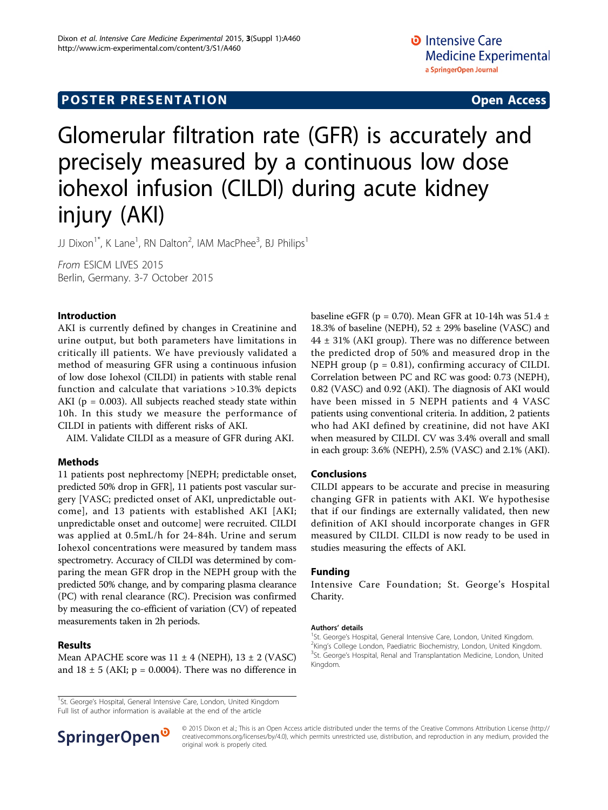# Glomerular filtration rate (GFR) is accurately and precisely measured by a continuous low dose iohexol infusion (CILDI) during acute kidney injury (AKI)

JJ Dixon<sup>1\*</sup>, K Lane<sup>1</sup>, RN Dalton<sup>2</sup>, IAM MacPhee<sup>3</sup>, BJ Philips<sup>1</sup>

From ESICM LIVES 2015 Berlin, Germany. 3-7 October 2015

### Introduction

AKI is currently defined by changes in Creatinine and urine output, but both parameters have limitations in critically ill patients. We have previously validated a method of measuring GFR using a continuous infusion of low dose Iohexol (CILDI) in patients with stable renal function and calculate that variations >10.3% depicts AKI ( $p = 0.003$ ). All subjects reached steady state within 10h. In this study we measure the performance of CILDI in patients with different risks of AKI.

AIM. Validate CILDI as a measure of GFR during AKI.

## Methods

11 patients post nephrectomy [NEPH; predictable onset, predicted 50% drop in GFR], 11 patients post vascular surgery [VASC; predicted onset of AKI, unpredictable outcome], and 13 patients with established AKI [AKI; unpredictable onset and outcome] were recruited. CILDI was applied at 0.5mL/h for 24-84h. Urine and serum Iohexol concentrations were measured by tandem mass spectrometry. Accuracy of CILDI was determined by comparing the mean GFR drop in the NEPH group with the predicted 50% change, and by comparing plasma clearance (PC) with renal clearance (RC). Precision was confirmed by measuring the co-efficient of variation (CV) of repeated measurements taken in 2h periods.

### Results

Mean APACHE score was  $11 \pm 4$  (NEPH),  $13 \pm 2$  (VASC) and  $18 \pm 5$  (AKI; p = 0.0004). There was no difference in baseline eGFR (p = 0.70). Mean GFR at 10-14h was  $51.4 \pm$ 18.3% of baseline (NEPH),  $52 \pm 29$ % baseline (VASC) and 44 ± 31% (AKI group). There was no difference between the predicted drop of 50% and measured drop in the NEPH group  $(p = 0.81)$ , confirming accuracy of CILDI. Correlation between PC and RC was good: 0.73 (NEPH), 0.82 (VASC) and 0.92 (AKI). The diagnosis of AKI would have been missed in 5 NEPH patients and 4 VASC patients using conventional criteria. In addition, 2 patients who had AKI defined by creatinine, did not have AKI when measured by CILDI. CV was 3.4% overall and small in each group: 3.6% (NEPH), 2.5% (VASC) and 2.1% (AKI).

### Conclusions

CILDI appears to be accurate and precise in measuring changing GFR in patients with AKI. We hypothesise that if our findings are externally validated, then new definition of AKI should incorporate changes in GFR measured by CILDI. CILDI is now ready to be used in studies measuring the effects of AKI.

### Funding

Intensive Care Foundation; St. George's Hospital Charity.

#### Authors' details <sup>1</sup>

<sup>1</sup>St. George's Hospital, General Intensive Care, London, United Kingdom. <sup>2</sup>King's College London, Paediatric Biochemistry, London, United Kingdom. <sup>3</sup>St. George's Hospital, Renal and Transplantation Medicine, London, United Kingdom.

Full list of author information is available at the end of the article



© 2015 Dixon et al.; This is an Open Access article distributed under the terms of the Creative Commons Attribution License [\(http://](http://creativecommons.org/licenses/by/4.0) [creativecommons.org/licenses/by/4.0](http://creativecommons.org/licenses/by/4.0)), which permits unrestricted use, distribution, and reproduction in any medium, provided the original work is properly cited.

<sup>&</sup>lt;sup>1</sup>St. George's Hospital, General Intensive Care, London, United Kingdom